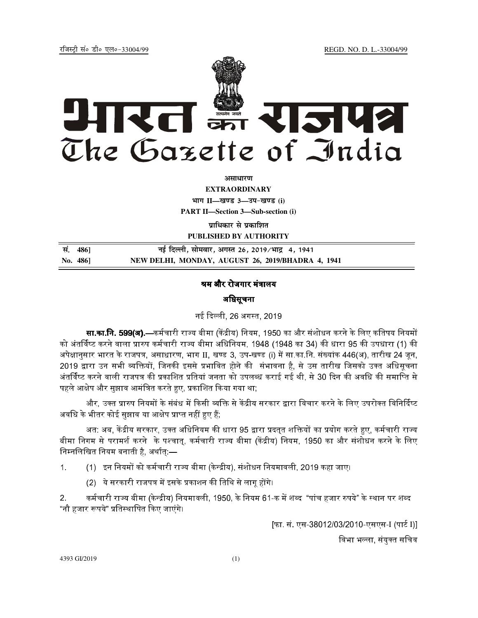jftLVªh laö Mhö ,yö&33004@99 REGD. NO. D. L.-33004/99



**vlk/kj.k**

**EXTRAORDINARY**  $4$ **HTT**  $II$ —*l***avs** 3—34-*b*avs (i) **PART II—Section 3—Sub-section (i)** 

**प्राधिकार से प्रकाशित** 

**PUBLISHED BY AUTHORITY**

 **la- 486] ubZ fnYyh] lkseokj] vxLr 26] 2019@Hkkæ 4] 1941 No. 486] NEW DELHI, MONDAY, AUGUST 26, 2019/BHADRA 4, 1941**

#### श्रम और रोजगार मंत्रालय 1

# अधिसूचना

नई दिल्ली. 26 अगस्त. 2019

**सा.का.नि. 599(अ).—**कर्मचारी राज्य बीमा (केंद्रीय) नियम. 1950 का और संशोधन करने के लिए कतिपय नियमों को अंतर्विष्ट करने वाला प्रारुप कर्मचारी राज्य बीमा अधिनियम. 1948 (1948 का 34) की धारा 95 की उपधारा (1) की अपेक्षानुसार भारत के राजपत्र, असाधारण, भाग II, खण्ड 3, उप-खण्ड (i) में सा.का.नि. संख्यांक 446(अ), तारीख 24 जून, 2019 द्वारा उन सभी व्यक्तियों. जिनकी इससे प्रभावित होने की संभावना है. से उस तारीख जिसको उक्त अधिसचना अंतर्विष्ट करने वाली राजपत्र की प्रकाशित प्रतियां जनता को उपलब्ध कराई गई थी. से 30 दिन की अवधि की समाप्ति से "@ E2 "3F%E6 G!, ( H;

और. उक्त प्रारुप नियमों के संबंध में किसी व्यक्ति से केंद्रीय सरकार द्वारा विचार करने के लिए उपरोक्त विनिर्दिष्ट अवधि के भीतर कोई सझाव या आक्षेप प्राप्त नहीं हए हैं:

अत: अब. केंद्रीय सरकार. उक्त अधिनियम की धारा 95 द्वारा प्रदतत शक्तियों का प्रयोग करते हए. कर्मचारी राज्य बीमा निगम से परामर्श करने के पश्चात्, कर्मचारी राज्य बीमा (केंद्रीय) नियम, 1950 का और संशोधन करने के लिए निम्नलिखित नियम बनाती है. अर्थात:—

1. (1) इन नियमों को कर्मचारी राज्य बीमा (केन्द्रीय), संशोधन नियमावली, 2019 कहा जाए।

(2) ये सरकारी राजपत्र में इसके प्रकाशन की तिथि से लाग होंगे।

2. कर्मचारी राज्य बीमा (केन्द्रीय) नियमावली. 1950. के नियम 61-क में शब्द "पांच हजार रुपये" के स्थान पर शब्द "नौ हजार रूपये" प्रतिस्थापित किए जाएंगे।

[फा. सं. एस-38012/03/2010-एसएस-I (पार्ट I)]

विभा भल्ला. संयक्त सचिव

4393 GI/2019 (1)